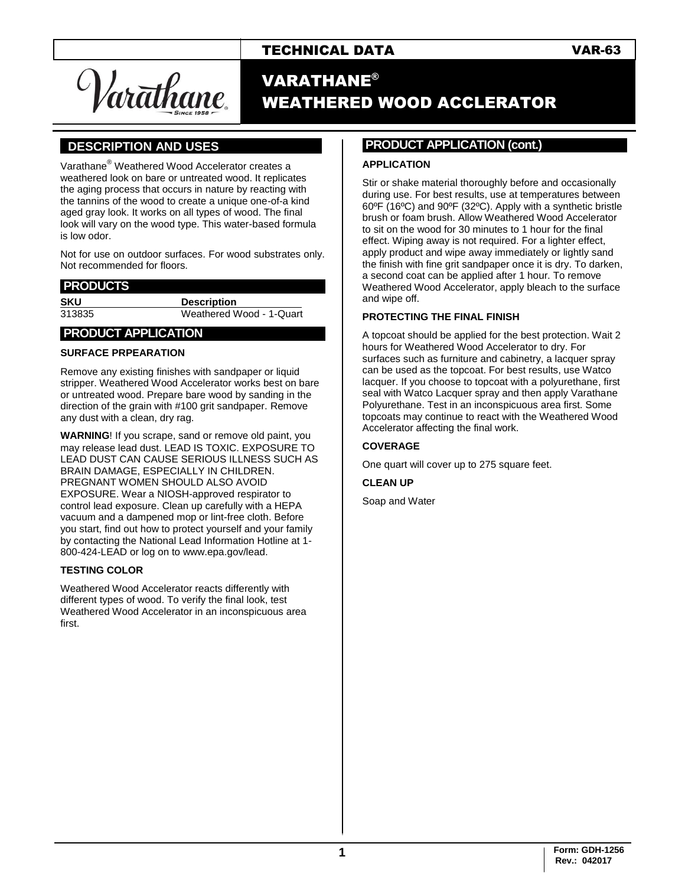## TECHNICAL DATA VAR-63

Var<del>a</del>thane

# VARATHANE® WEATHERED WOOD ACCLERATOR

## **].DESCRIPTION AND USES .**

Varathane® Weathered Wood Accelerator creates a weathered look on bare or untreated wood. It replicates the aging process that occurs in nature by reacting with the tannins of the wood to create a unique one-of-a kind aged gray look. It works on all types of wood. The final look will vary on the wood type. This water-based formula is low odor.

Not for use on outdoor surfaces. For wood substrates only. Not recommended for floors.

#### **.PRODUCTS .**

**SKU Description**

313835 Weathered Wood - 1-Quart

#### **.PRODUCT APPLICATION .**

#### **SURFACE PRPEARATION**

Remove any existing finishes with sandpaper or liquid stripper. Weathered Wood Accelerator works best on bare or untreated wood. Prepare bare wood by sanding in the direction of the grain with #100 grit sandpaper. Remove any dust with a clean, dry rag.

**WARNING**! If you scrape, sand or remove old paint, you may release lead dust. LEAD IS TOXIC. EXPOSURE TO LEAD DUST CAN CAUSE SERIOUS ILLNESS SUCH AS BRAIN DAMAGE, ESPECIALLY IN CHILDREN. PREGNANT WOMEN SHOULD ALSO AVOID EXPOSURE. Wear a NIOSH-approved respirator to control lead exposure. Clean up carefully with a HEPA vacuum and a dampened mop or lint-free cloth. Before you start, find out how to protect yourself and your family by contacting the National Lead Information Hotline at 1- 800-424-LEAD or log on t[o www.epa.gov/lead.](http://www.epa.gov/lead)

#### **TESTING COLOR**

Weathered Wood Accelerator reacts differently with different types of wood. To verify the final look, test Weathered Wood Accelerator in an inconspicuous area first.

### **PRODUCT APPLICATION (cont.) .**

#### **APPLICATION**

Stir or shake material thoroughly before and occasionally during use. For best results, use at temperatures between 60ºF (16ºC) and 90ºF (32ºC). Apply with a synthetic bristle brush or foam brush. Allow Weathered Wood Accelerator to sit on the wood for 30 minutes to 1 hour for the final effect. Wiping away is not required. For a lighter effect, apply product and wipe away immediately or lightly sand the finish with fine grit sandpaper once it is dry. To darken, a second coat can be applied after 1 hour. To remove Weathered Wood Accelerator, apply bleach to the surface and wipe off.

#### **PROTECTING THE FINAL FINISH**

A topcoat should be applied for the best protection. Wait 2 hours for Weathered Wood Accelerator to dry. For surfaces such as furniture and cabinetry, a lacquer spray can be used as the topcoat. For best results, use Watco lacquer. If you choose to topcoat with a polyurethane, first seal with Watco Lacquer spray and then apply Varathane Polyurethane. Test in an inconspicuous area first. Some topcoats may continue to react with the Weathered Wood Accelerator affecting the final work.

#### **COVERAGE**

One quart will cover up to 275 square feet.

#### **CLEAN UP**

Soap and Water